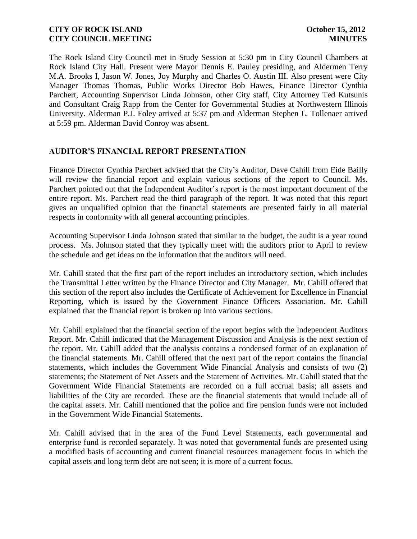The Rock Island City Council met in Study Session at 5:30 pm in City Council Chambers at Rock Island City Hall. Present were Mayor Dennis E. Pauley presiding, and Aldermen Terry M.A. Brooks I, Jason W. Jones, Joy Murphy and Charles O. Austin III. Also present were City Manager Thomas Thomas, Public Works Director Bob Hawes, Finance Director Cynthia Parchert, Accounting Supervisor Linda Johnson, other City staff, City Attorney Ted Kutsunis and Consultant Craig Rapp from the Center for Governmental Studies at Northwestern Illinois University. Alderman P.J. Foley arrived at 5:37 pm and Alderman Stephen L. Tollenaer arrived at 5:59 pm. Alderman David Conroy was absent.

# **AUDITOR'S FINANCIAL REPORT PRESENTATION**

Finance Director Cynthia Parchert advised that the City's Auditor, Dave Cahill from Eide Bailly will review the financial report and explain various sections of the report to Council. Ms. Parchert pointed out that the Independent Auditor's report is the most important document of the entire report. Ms. Parchert read the third paragraph of the report. It was noted that this report gives an unqualified opinion that the financial statements are presented fairly in all material respects in conformity with all general accounting principles.

Accounting Supervisor Linda Johnson stated that similar to the budget, the audit is a year round process. Ms. Johnson stated that they typically meet with the auditors prior to April to review the schedule and get ideas on the information that the auditors will need.

Mr. Cahill stated that the first part of the report includes an introductory section, which includes the Transmittal Letter written by the Finance Director and City Manager. Mr. Cahill offered that this section of the report also includes the Certificate of Achievement for Excellence in Financial Reporting, which is issued by the Government Finance Officers Association. Mr. Cahill explained that the financial report is broken up into various sections.

Mr. Cahill explained that the financial section of the report begins with the Independent Auditors Report. Mr. Cahill indicated that the Management Discussion and Analysis is the next section of the report. Mr. Cahill added that the analysis contains a condensed format of an explanation of the financial statements. Mr. Cahill offered that the next part of the report contains the financial statements, which includes the Government Wide Financial Analysis and consists of two (2) statements; the Statement of Net Assets and the Statement of Activities. Mr. Cahill stated that the Government Wide Financial Statements are recorded on a full accrual basis; all assets and liabilities of the City are recorded. These are the financial statements that would include all of the capital assets. Mr. Cahill mentioned that the police and fire pension funds were not included in the Government Wide Financial Statements.

Mr. Cahill advised that in the area of the Fund Level Statements, each governmental and enterprise fund is recorded separately. It was noted that governmental funds are presented using a modified basis of accounting and current financial resources management focus in which the capital assets and long term debt are not seen; it is more of a current focus.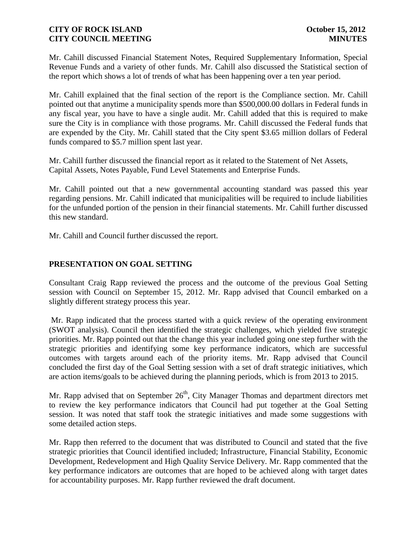Mr. Cahill discussed Financial Statement Notes, Required Supplementary Information, Special Revenue Funds and a variety of other funds. Mr. Cahill also discussed the Statistical section of the report which shows a lot of trends of what has been happening over a ten year period.

Mr. Cahill explained that the final section of the report is the Compliance section. Mr. Cahill pointed out that anytime a municipality spends more than \$500,000.00 dollars in Federal funds in any fiscal year, you have to have a single audit. Mr. Cahill added that this is required to make sure the City is in compliance with those programs. Mr. Cahill discussed the Federal funds that are expended by the City. Mr. Cahill stated that the City spent \$3.65 million dollars of Federal funds compared to \$5.7 million spent last year.

Mr. Cahill further discussed the financial report as it related to the Statement of Net Assets, Capital Assets, Notes Payable, Fund Level Statements and Enterprise Funds.

Mr. Cahill pointed out that a new governmental accounting standard was passed this year regarding pensions. Mr. Cahill indicated that municipalities will be required to include liabilities for the unfunded portion of the pension in their financial statements. Mr. Cahill further discussed this new standard.

Mr. Cahill and Council further discussed the report.

# **PRESENTATION ON GOAL SETTING**

Consultant Craig Rapp reviewed the process and the outcome of the previous Goal Setting session with Council on September 15, 2012. Mr. Rapp advised that Council embarked on a slightly different strategy process this year.

Mr. Rapp indicated that the process started with a quick review of the operating environment (SWOT analysis). Council then identified the strategic challenges, which yielded five strategic priorities. Mr. Rapp pointed out that the change this year included going one step further with the strategic priorities and identifying some key performance indicators, which are successful outcomes with targets around each of the priority items. Mr. Rapp advised that Council concluded the first day of the Goal Setting session with a set of draft strategic initiatives, which are action items/goals to be achieved during the planning periods, which is from 2013 to 2015.

Mr. Rapp advised that on September  $26<sup>th</sup>$ , City Manager Thomas and department directors met to review the key performance indicators that Council had put together at the Goal Setting session. It was noted that staff took the strategic initiatives and made some suggestions with some detailed action steps.

Mr. Rapp then referred to the document that was distributed to Council and stated that the five strategic priorities that Council identified included; Infrastructure, Financial Stability, Economic Development, Redevelopment and High Quality Service Delivery. Mr. Rapp commented that the key performance indicators are outcomes that are hoped to be achieved along with target dates for accountability purposes. Mr. Rapp further reviewed the draft document.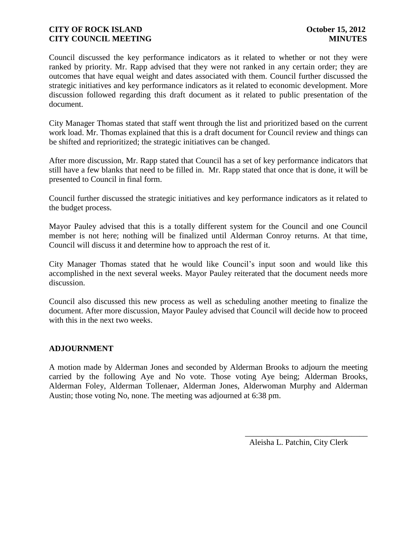Council discussed the key performance indicators as it related to whether or not they were ranked by priority. Mr. Rapp advised that they were not ranked in any certain order; they are outcomes that have equal weight and dates associated with them. Council further discussed the strategic initiatives and key performance indicators as it related to economic development. More discussion followed regarding this draft document as it related to public presentation of the document.

City Manager Thomas stated that staff went through the list and prioritized based on the current work load. Mr. Thomas explained that this is a draft document for Council review and things can be shifted and reprioritized; the strategic initiatives can be changed.

After more discussion, Mr. Rapp stated that Council has a set of key performance indicators that still have a few blanks that need to be filled in. Mr. Rapp stated that once that is done, it will be presented to Council in final form.

Council further discussed the strategic initiatives and key performance indicators as it related to the budget process.

Mayor Pauley advised that this is a totally different system for the Council and one Council member is not here; nothing will be finalized until Alderman Conroy returns. At that time, Council will discuss it and determine how to approach the rest of it.

City Manager Thomas stated that he would like Council's input soon and would like this accomplished in the next several weeks. Mayor Pauley reiterated that the document needs more discussion.

Council also discussed this new process as well as scheduling another meeting to finalize the document. After more discussion, Mayor Pauley advised that Council will decide how to proceed with this in the next two weeks.

# **ADJOURNMENT**

A motion made by Alderman Jones and seconded by Alderman Brooks to adjourn the meeting carried by the following Aye and No vote. Those voting Aye being; Alderman Brooks, Alderman Foley, Alderman Tollenaer, Alderman Jones, Alderwoman Murphy and Alderman Austin; those voting No, none. The meeting was adjourned at 6:38 pm.

Aleisha L. Patchin, City Clerk

\_\_\_\_\_\_\_\_\_\_\_\_\_\_\_\_\_\_\_\_\_\_\_\_\_\_\_\_\_\_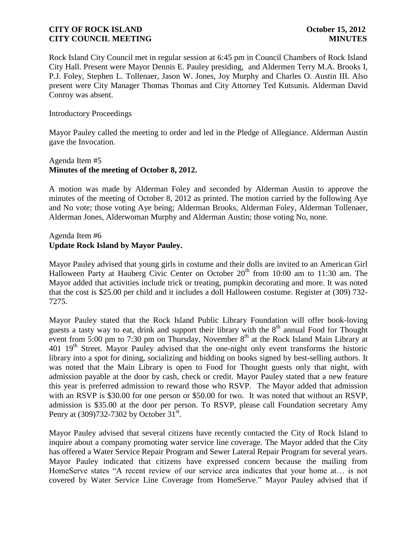Rock Island City Council met in regular session at 6:45 pm in Council Chambers of Rock Island City Hall. Present were Mayor Dennis E. Pauley presiding, and Aldermen Terry M.A. Brooks I, P.J. Foley, Stephen L. Tollenaer, Jason W. Jones, Joy Murphy and Charles O. Austin III. Also present were City Manager Thomas Thomas and City Attorney Ted Kutsunis. Alderman David Conroy was absent.

### Introductory Proceedings

Mayor Pauley called the meeting to order and led in the Pledge of Allegiance. Alderman Austin gave the Invocation.

# Agenda Item #5 **Minutes of the meeting of October 8, 2012.**

A motion was made by Alderman Foley and seconded by Alderman Austin to approve the minutes of the meeting of October 8, 2012 as printed. The motion carried by the following Aye and No vote; those voting Aye being; Alderman Brooks, Alderman Foley, Alderman Tollenaer, Alderman Jones, Alderwoman Murphy and Alderman Austin; those voting No, none.

# Agenda Item #6 **Update Rock Island by Mayor Pauley.**

Mayor Pauley advised that young girls in costume and their dolls are invited to an American Girl Halloween Party at Hauberg Civic Center on October  $20<sup>th</sup>$  from 10:00 am to 11:30 am. The Mayor added that activities include trick or treating, pumpkin decorating and more. It was noted that the cost is \$25.00 per child and it includes a doll Halloween costume. Register at (309) 732- 7275.

Mayor Pauley stated that the Rock Island Public Library Foundation will offer book-loving guests a tasty way to eat, drink and support their library with the  $8<sup>th</sup>$  annual Food for Thought event from 5:00 pm to 7:30 pm on Thursday, November  $8<sup>th</sup>$  at the Rock Island Main Library at 401  $19<sup>th</sup>$  Street. Mayor Pauley advised that the one-night only event transforms the historic library into a spot for dining, socializing and bidding on books signed by best-selling authors. It was noted that the Main Library is open to Food for Thought guests only that night, with admission payable at the door by cash, check or credit. Mayor Pauley stated that a new feature this year is preferred admission to reward those who RSVP. The Mayor added that admission with an RSVP is \$30.00 for one person or \$50.00 for two. It was noted that without an RSVP, admission is \$35.00 at the door per person. To RSVP, please call Foundation secretary Amy Penry at  $(309)732-7302$  by October  $31^{\text{st}}$ .

Mayor Pauley advised that several citizens have recently contacted the City of Rock Island to inquire about a company promoting water service line coverage. The Mayor added that the City has offered a Water Service Repair Program and Sewer Lateral Repair Program for several years. Mayor Pauley indicated that citizens have expressed concern because the mailing from HomeServe states "A recent review of our service area indicates that your home at… is not covered by Water Service Line Coverage from HomeServe." Mayor Pauley advised that if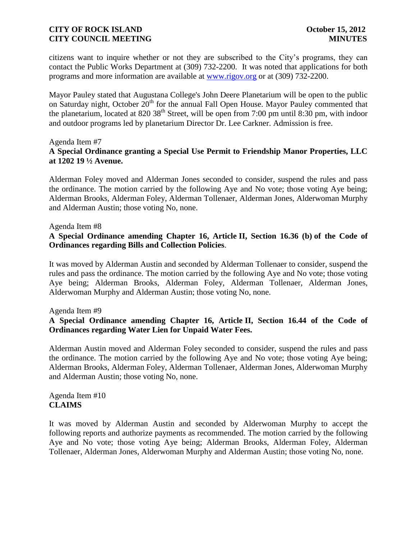citizens want to inquire whether or not they are subscribed to the City's programs, they can contact the Public Works Department at (309) 732-2200. It was noted that applications for both programs and more information are available at [www.rigov.org](http://www.rigov.org/%20http:/www.rigov.org/) or at (309) 732-2200.

Mayor Pauley stated that Augustana College's John Deere Planetarium will be open to the public on Saturday night, October 20<sup>th</sup> for the annual Fall Open House. Mayor Pauley commented that the planetarium, located at 820 38<sup>th</sup> Street, will be open from 7:00 pm until 8:30 pm, with indoor and outdoor programs led by planetarium Director Dr. Lee Carkner. Admission is free.

#### Agenda Item #7 **A Special Ordinance granting a Special Use Permit to Friendship Manor Properties, LLC at 1202 19 ½ Avenue.**

Alderman Foley moved and Alderman Jones seconded to consider, suspend the rules and pass the ordinance. The motion carried by the following Aye and No vote; those voting Aye being; Alderman Brooks, Alderman Foley, Alderman Tollenaer, Alderman Jones, Alderwoman Murphy and Alderman Austin; those voting No, none.

#### Agenda Item #8

# **A Special Ordinance amending Chapter 16, Article II, Section 16.36 (b) of the Code of Ordinances regarding Bills and Collection Policies**.

It was moved by Alderman Austin and seconded by Alderman Tollenaer to consider, suspend the rules and pass the ordinance. The motion carried by the following Aye and No vote; those voting Aye being; Alderman Brooks, Alderman Foley, Alderman Tollenaer, Alderman Jones, Alderwoman Murphy and Alderman Austin; those voting No, none.

### Agenda Item #9

# **A Special Ordinance amending Chapter 16, Article II, Section 16.44 of the Code of Ordinances regarding Water Lien for Unpaid Water Fees.**

Alderman Austin moved and Alderman Foley seconded to consider, suspend the rules and pass the ordinance. The motion carried by the following Aye and No vote; those voting Aye being; Alderman Brooks, Alderman Foley, Alderman Tollenaer, Alderman Jones, Alderwoman Murphy and Alderman Austin; those voting No, none.

Agenda Item #10 **CLAIMS**

It was moved by Alderman Austin and seconded by Alderwoman Murphy to accept the following reports and authorize payments as recommended. The motion carried by the following Aye and No vote; those voting Aye being; Alderman Brooks, Alderman Foley, Alderman Tollenaer, Alderman Jones, Alderwoman Murphy and Alderman Austin; those voting No, none.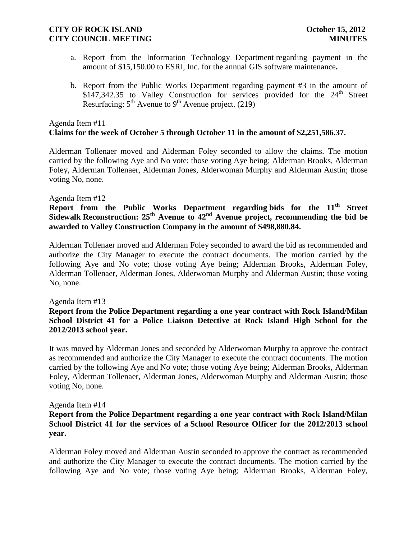- a. Report from the Information Technology Department regarding payment in the amount of \$15,150.00 to ESRI, Inc. for the annual GIS software maintenance**.**
- b. Report from the Public Works Department regarding payment #3 in the amount of  $$147,342.35$  to Valley Construction for services provided for the  $24<sup>th</sup>$  Street Resurfacing:  $5<sup>th</sup>$  Avenue to  $9<sup>th</sup>$  Avenue project. (219)

# Agenda Item #11 **Claims for the week of October 5 through October 11 in the amount of \$2,251,586.37.**

Alderman Tollenaer moved and Alderman Foley seconded to allow the claims. The motion carried by the following Aye and No vote; those voting Aye being; Alderman Brooks, Alderman Foley, Alderman Tollenaer, Alderman Jones, Alderwoman Murphy and Alderman Austin; those voting No, none.

### Agenda Item #12

**Report from the Public Works Department regarding bids for the 11th Street Sidewalk Reconstruction: 25th Avenue to 42nd Avenue project, recommending the bid be awarded to Valley Construction Company in the amount of \$498,880.84.**

Alderman Tollenaer moved and Alderman Foley seconded to award the bid as recommended and authorize the City Manager to execute the contract documents. The motion carried by the following Aye and No vote; those voting Aye being; Alderman Brooks, Alderman Foley, Alderman Tollenaer, Alderman Jones, Alderwoman Murphy and Alderman Austin; those voting No, none.

### Agenda Item #13

# **Report from the Police Department regarding a one year contract with Rock Island/Milan School District 41 for a Police Liaison Detective at Rock Island High School for the 2012/2013 school year.**

It was moved by Alderman Jones and seconded by Alderwoman Murphy to approve the contract as recommended and authorize the City Manager to execute the contract documents. The motion carried by the following Aye and No vote; those voting Aye being; Alderman Brooks, Alderman Foley, Alderman Tollenaer, Alderman Jones, Alderwoman Murphy and Alderman Austin; those voting No, none.

### Agenda Item #14

# **Report from the Police Department regarding a one year contract with Rock Island/Milan School District 41 for the services of a School Resource Officer for the 2012/2013 school year.**

Alderman Foley moved and Alderman Austin seconded to approve the contract as recommended and authorize the City Manager to execute the contract documents. The motion carried by the following Aye and No vote; those voting Aye being; Alderman Brooks, Alderman Foley,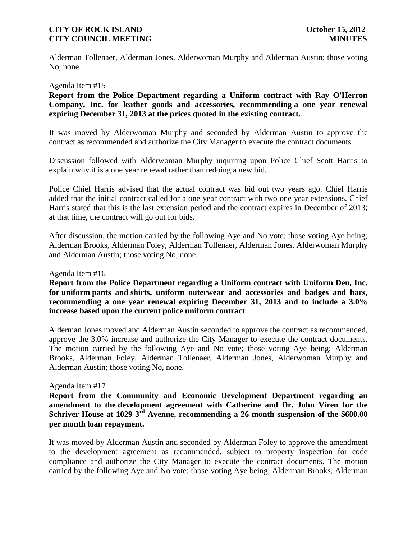Alderman Tollenaer, Alderman Jones, Alderwoman Murphy and Alderman Austin; those voting No, none.

#### Agenda Item #15

**Report from the Police Department regarding a Uniform contract with Ray O'Herron Company, Inc. for leather goods and accessories, recommending a one year renewal expiring December 31, 2013 at the prices quoted in the existing contract.**

It was moved by Alderwoman Murphy and seconded by Alderman Austin to approve the contract as recommended and authorize the City Manager to execute the contract documents.

Discussion followed with Alderwoman Murphy inquiring upon Police Chief Scott Harris to explain why it is a one year renewal rather than redoing a new bid.

Police Chief Harris advised that the actual contract was bid out two years ago. Chief Harris added that the initial contract called for a one year contract with two one year extensions. Chief Harris stated that this is the last extension period and the contract expires in December of 2013; at that time, the contract will go out for bids.

After discussion, the motion carried by the following Aye and No vote; those voting Aye being; Alderman Brooks, Alderman Foley, Alderman Tollenaer, Alderman Jones, Alderwoman Murphy and Alderman Austin; those voting No, none.

#### Agenda Item #16

**Report from the Police Department regarding a Uniform contract with Uniform Den, Inc. for uniform pants and shirts, uniform outerwear and accessories and badges and bars, recommending a one year renewal expiring December 31, 2013 and to include a 3.0% increase based upon the current police uniform contract**.

Alderman Jones moved and Alderman Austin seconded to approve the contract as recommended, approve the 3.0% increase and authorize the City Manager to execute the contract documents. The motion carried by the following Aye and No vote; those voting Aye being; Alderman Brooks, Alderman Foley, Alderman Tollenaer, Alderman Jones, Alderwoman Murphy and Alderman Austin; those voting No, none.

### Agenda Item #17

**Report from the Community and Economic Development Department regarding an amendment to the development agreement with Catherine and Dr. John Viren for the Schriver House at 1029 3rd Avenue, recommending a 26 month suspension of the \$600.00 per month loan repayment.** 

It was moved by Alderman Austin and seconded by Alderman Foley to approve the amendment to the development agreement as recommended, subject to property inspection for code compliance and authorize the City Manager to execute the contract documents. The motion carried by the following Aye and No vote; those voting Aye being; Alderman Brooks, Alderman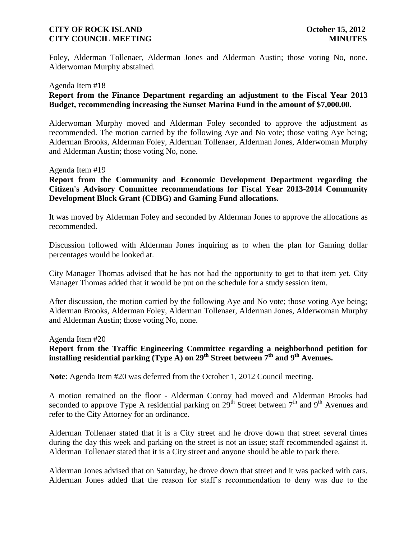Foley, Alderman Tollenaer, Alderman Jones and Alderman Austin; those voting No, none. Alderwoman Murphy abstained.

#### Agenda Item #18

# **Report from the Finance Department regarding an adjustment to the Fiscal Year 2013 Budget, recommending increasing the Sunset Marina Fund in the amount of \$7,000.00.**

Alderwoman Murphy moved and Alderman Foley seconded to approve the adjustment as recommended. The motion carried by the following Aye and No vote; those voting Aye being; Alderman Brooks, Alderman Foley, Alderman Tollenaer, Alderman Jones, Alderwoman Murphy and Alderman Austin; those voting No, none.

#### Agenda Item #19

**Report from the Community and Economic Development Department regarding the Citizen's Advisory Committee recommendations for Fiscal Year 2013-2014 Community Development Block Grant (CDBG) and Gaming Fund allocations.**

It was moved by Alderman Foley and seconded by Alderman Jones to approve the allocations as recommended.

Discussion followed with Alderman Jones inquiring as to when the plan for Gaming dollar percentages would be looked at.

City Manager Thomas advised that he has not had the opportunity to get to that item yet. City Manager Thomas added that it would be put on the schedule for a study session item.

After discussion, the motion carried by the following Aye and No vote; those voting Aye being; Alderman Brooks, Alderman Foley, Alderman Tollenaer, Alderman Jones, Alderwoman Murphy and Alderman Austin; those voting No, none.

#### Agenda Item #20

# **Report from the Traffic Engineering Committee regarding a neighborhood petition for**  installing residential parking  $(T$ ype  $\overrightarrow{A}$ ) on  $29^{th}$  Street between  $7^{th}$  and  $9^{th}$  Avenues.

**Note**: Agenda Item #20 was deferred from the October 1, 2012 Council meeting.

A motion remained on the floor - Alderman Conroy had moved and Alderman Brooks had seconded to approve Type A residential parking on  $29<sup>th</sup>$  Street between  $7<sup>th</sup>$  and  $9<sup>th</sup>$  Avenues and refer to the City Attorney for an ordinance.

Alderman Tollenaer stated that it is a City street and he drove down that street several times during the day this week and parking on the street is not an issue; staff recommended against it. Alderman Tollenaer stated that it is a City street and anyone should be able to park there.

Alderman Jones advised that on Saturday, he drove down that street and it was packed with cars. Alderman Jones added that the reason for staff's recommendation to deny was due to the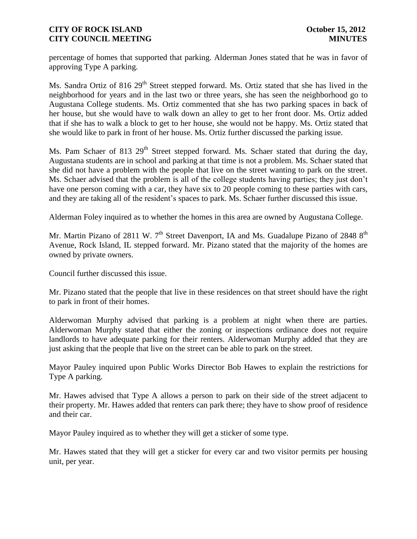percentage of homes that supported that parking. Alderman Jones stated that he was in favor of approving Type A parking.

Ms. Sandra Ortiz of 816 29<sup>th</sup> Street stepped forward. Ms. Ortiz stated that she has lived in the neighborhood for years and in the last two or three years, she has seen the neighborhood go to Augustana College students. Ms. Ortiz commented that she has two parking spaces in back of her house, but she would have to walk down an alley to get to her front door. Ms. Ortiz added that if she has to walk a block to get to her house, she would not be happy. Ms. Ortiz stated that she would like to park in front of her house. Ms. Ortiz further discussed the parking issue.

Ms. Pam Schaer of 813 29<sup>th</sup> Street stepped forward. Ms. Schaer stated that during the day, Augustana students are in school and parking at that time is not a problem. Ms. Schaer stated that she did not have a problem with the people that live on the street wanting to park on the street. Ms. Schaer advised that the problem is all of the college students having parties; they just don't have one person coming with a car, they have six to 20 people coming to these parties with cars, and they are taking all of the resident's spaces to park. Ms. Schaer further discussed this issue.

Alderman Foley inquired as to whether the homes in this area are owned by Augustana College.

Mr. Martin Pizano of 2811 W.  $7<sup>th</sup>$  Street Davenport, IA and Ms. Guadalupe Pizano of 2848  $8<sup>th</sup>$ Avenue, Rock Island, IL stepped forward. Mr. Pizano stated that the majority of the homes are owned by private owners.

Council further discussed this issue.

Mr. Pizano stated that the people that live in these residences on that street should have the right to park in front of their homes.

Alderwoman Murphy advised that parking is a problem at night when there are parties. Alderwoman Murphy stated that either the zoning or inspections ordinance does not require landlords to have adequate parking for their renters. Alderwoman Murphy added that they are just asking that the people that live on the street can be able to park on the street.

Mayor Pauley inquired upon Public Works Director Bob Hawes to explain the restrictions for Type A parking.

Mr. Hawes advised that Type A allows a person to park on their side of the street adjacent to their property. Mr. Hawes added that renters can park there; they have to show proof of residence and their car.

Mayor Pauley inquired as to whether they will get a sticker of some type.

Mr. Hawes stated that they will get a sticker for every car and two visitor permits per housing unit, per year.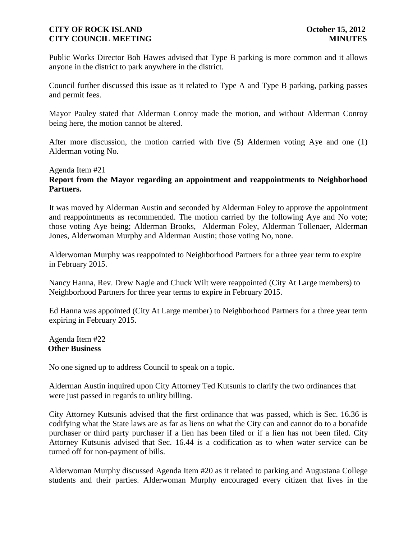Public Works Director Bob Hawes advised that Type B parking is more common and it allows anyone in the district to park anywhere in the district.

Council further discussed this issue as it related to Type A and Type B parking, parking passes and permit fees.

Mayor Pauley stated that Alderman Conroy made the motion, and without Alderman Conroy being here, the motion cannot be altered.

After more discussion, the motion carried with five (5) Aldermen voting Aye and one (1) Alderman voting No.

### Agenda Item #21

# **Report from the Mayor regarding an appointment and reappointments to Neighborhood Partners.**

It was moved by Alderman Austin and seconded by Alderman Foley to approve the appointment and reappointments as recommended. The motion carried by the following Aye and No vote; those voting Aye being; Alderman Brooks, Alderman Foley, Alderman Tollenaer, Alderman Jones, Alderwoman Murphy and Alderman Austin; those voting No, none.

Alderwoman Murphy was reappointed to Neighborhood Partners for a three year term to expire in February 2015.

Nancy Hanna, Rev. Drew Nagle and Chuck Wilt were reappointed (City At Large members) to Neighborhood Partners for three year terms to expire in February 2015.

Ed Hanna was appointed (City At Large member) to Neighborhood Partners for a three year term expiring in February 2015.

Agenda Item #22 **Other Business**

No one signed up to address Council to speak on a topic.

Alderman Austin inquired upon City Attorney Ted Kutsunis to clarify the two ordinances that were just passed in regards to utility billing.

City Attorney Kutsunis advised that the first ordinance that was passed, which is Sec. 16.36 is codifying what the State laws are as far as liens on what the City can and cannot do to a bonafide purchaser or third party purchaser if a lien has been filed or if a lien has not been filed. City Attorney Kutsunis advised that Sec. 16.44 is a codification as to when water service can be turned off for non-payment of bills.

Alderwoman Murphy discussed Agenda Item #20 as it related to parking and Augustana College students and their parties. Alderwoman Murphy encouraged every citizen that lives in the